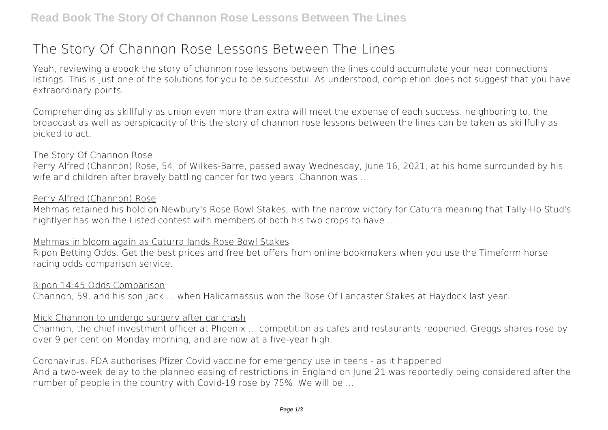# **The Story Of Channon Rose Lessons Between The Lines**

Yeah, reviewing a ebook **the story of channon rose lessons between the lines** could accumulate your near connections listings. This is just one of the solutions for you to be successful. As understood, completion does not suggest that you have extraordinary points.

Comprehending as skillfully as union even more than extra will meet the expense of each success. neighboring to, the broadcast as well as perspicacity of this the story of channon rose lessons between the lines can be taken as skillfully as picked to act.

#### The Story Of Channon Rose

Perry Alfred (Channon) Rose, 54, of Wilkes-Barre, passed away Wednesday, June 16, 2021, at his home surrounded by his wife and children after bravely battling cancer for two years. Channon was ...

#### Perry Alfred (Channon) Rose

Mehmas retained his hold on Newbury's Rose Bowl Stakes, with the narrow victory for Caturra meaning that Tally-Ho Stud's highflyer has won the Listed contest with members of both his two crops to have ...

## Mehmas in bloom again as Caturra lands Rose Bowl Stakes

Ripon Betting Odds. Get the best prices and free bet offers from online bookmakers when you use the Timeform horse racing odds comparison service.

#### Ripon 14:45 Odds Comparison

Channon, 59, and his son Jack ... when Halicarnassus won the Rose Of Lancaster Stakes at Haydock last year.

#### Mick Channon to undergo surgery after car crash

Channon, the chief investment officer at Phoenix ... competition as cafes and restaurants reopened. Greggs shares rose by over 9 per cent on Monday morning, and are now at a five-year high.

#### Coronavirus: FDA authorises Pfizer Covid vaccine for emergency use in teens - as it happened

And a two-week delay to the planned easing of restrictions in England on June 21 was reportedly being considered after the number of people in the country with Covid-19 rose by 75%. We will be ...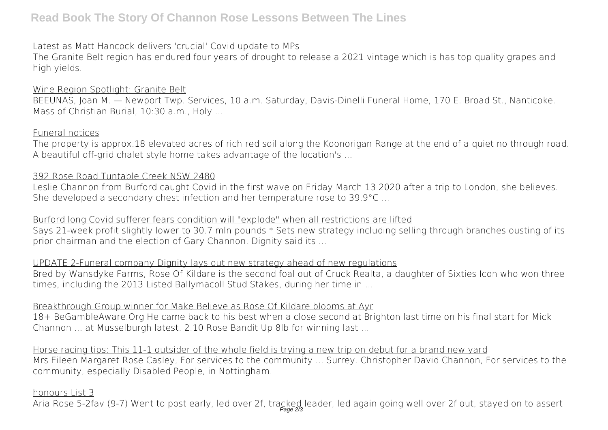# **Read Book The Story Of Channon Rose Lessons Between The Lines**

# Latest as Matt Hancock delivers 'crucial' Covid update to MPs

The Granite Belt region has endured four years of drought to release a 2021 vintage which is has top quality grapes and high yields.

## Wine Region Spotlight: Granite Belt

BEEUNAS, Joan M. — Newport Twp. Services, 10 a.m. Saturday, Davis-Dinelli Funeral Home, 170 E. Broad St., Nanticoke. Mass of Christian Burial, 10:30 a.m., Holy ...

#### Funeral notices

The property is approx.18 elevated acres of rich red soil along the Koonorigan Range at the end of a quiet no through road. A beautiful off-grid chalet style home takes advantage of the location's ...

## 392 Rose Road Tuntable Creek NSW 2480

Leslie Channon from Burford caught Covid in the first wave on Friday March 13 2020 after a trip to London, she believes. She developed a secondary chest infection and her temperature rose to 39.9°C ...

## Burford long Covid sufferer fears condition will "explode" when all restrictions are lifted

Says 21-week profit slightly lower to 30.7 mln pounds \* Sets new strategy including selling through branches ousting of its prior chairman and the election of Gary Channon. Dignity said its ...

# UPDATE 2-Funeral company Dignity lays out new strategy ahead of new regulations

Bred by Wansdyke Farms, Rose Of Kildare is the second foal out of Cruck Realta, a daughter of Sixties Icon who won three times, including the 2013 Listed Ballymacoll Stud Stakes, during her time in ...

## Breakthrough Group winner for Make Believe as Rose Of Kildare blooms at Ayr

18+ BeGambleAware.Org He came back to his best when a close second at Brighton last time on his final start for Mick Channon ... at Musselburgh latest. 2.10 Rose Bandit Up 8lb for winning last ...

Horse racing tips: This 11-1 outsider of the whole field is trying a new trip on debut for a brand new yard Mrs Eileen Margaret Rose Casley, For services to the community ... Surrey. Christopher David Channon, For services to the community, especially Disabled People, in Nottingham.

# honours List 3

Aria Rose 5-2fav (9-7) Went to post early, led over 2f, tracked leader, led again going well over 2f out, stayed on to assert<br>Page 23